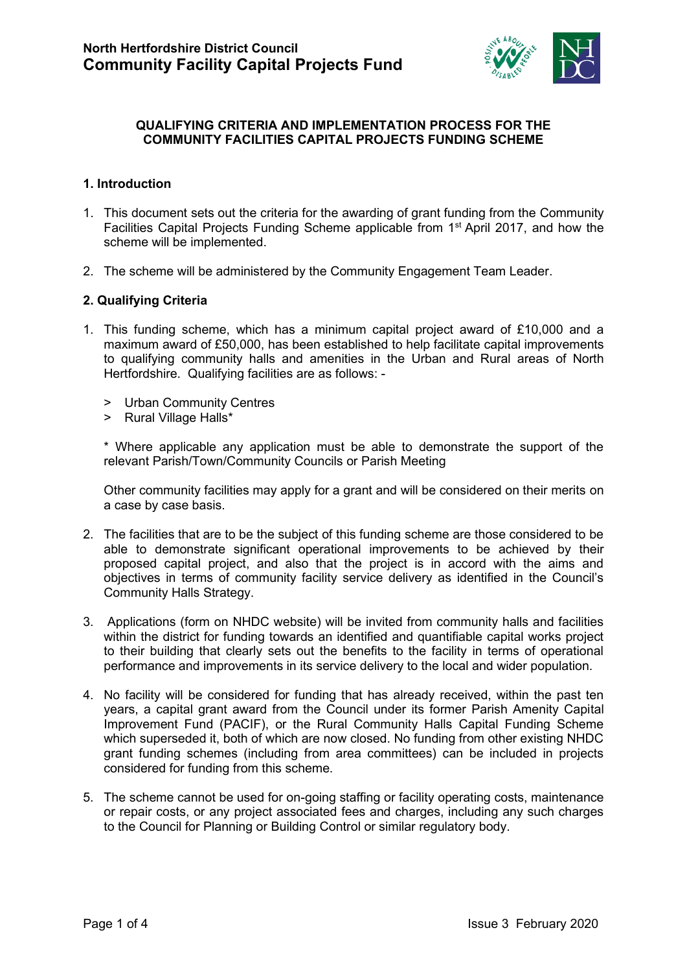

### **QUALIFYING CRITERIA AND IMPLEMENTATION PROCESS FOR THE COMMUNITY FACILITIES CAPITAL PROJECTS FUNDING SCHEME**

### **1. Introduction**

- 1. This document sets out the criteria for the awarding of grant funding from the Community Facilities Capital Projects Funding Scheme applicable from 1st April 2017, and how the scheme will be implemented.
- 2. The scheme will be administered by the Community Engagement Team Leader.

### **2. Qualifying Criteria**

- 1. This funding scheme, which has a minimum capital project award of £10,000 and a maximum award of £50,000, has been established to help facilitate capital improvements to qualifying community halls and amenities in the Urban and Rural areas of North Hertfordshire. Qualifying facilities are as follows: -
	- > Urban Community Centres
	- > Rural Village Halls\*

\* Where applicable any application must be able to demonstrate the support of the relevant Parish/Town/Community Councils or Parish Meeting

Other community facilities may apply for a grant and will be considered on their merits on a case by case basis.

- 2. The facilities that are to be the subject of this funding scheme are those considered to be able to demonstrate significant operational improvements to be achieved by their proposed capital project, and also that the project is in accord with the aims and objectives in terms of community facility service delivery as identified in the Council's Community Halls Strategy.
- 3. Applications (form on NHDC website) will be invited from community halls and facilities within the district for funding towards an identified and quantifiable capital works project to their building that clearly sets out the benefits to the facility in terms of operational performance and improvements in its service delivery to the local and wider population.
- 4. No facility will be considered for funding that has already received, within the past ten years, a capital grant award from the Council under its former Parish Amenity Capital Improvement Fund (PACIF), or the Rural Community Halls Capital Funding Scheme which superseded it, both of which are now closed. No funding from other existing NHDC grant funding schemes (including from area committees) can be included in projects considered for funding from this scheme.
- 5. The scheme cannot be used for on-going staffing or facility operating costs, maintenance or repair costs, or any project associated fees and charges, including any such charges to the Council for Planning or Building Control or similar regulatory body.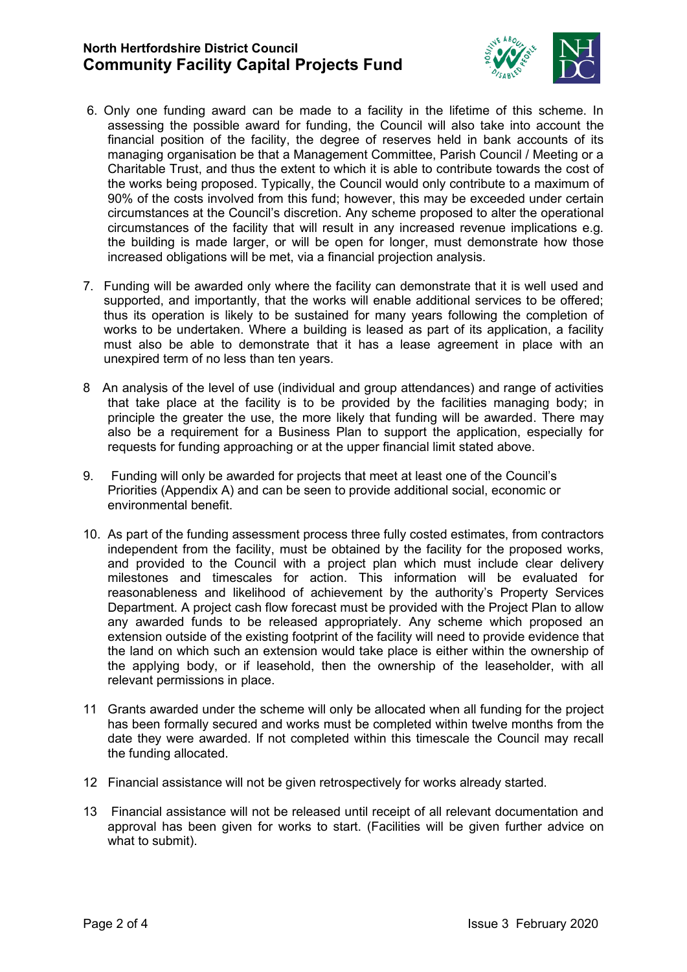# **North Hertfordshire District Council Community Facility Capital Projects Fund**



- 6. Only one funding award can be made to a facility in the lifetime of this scheme. In assessing the possible award for funding, the Council will also take into account the financial position of the facility, the degree of reserves held in bank accounts of its managing organisation be that a Management Committee, Parish Council / Meeting or a Charitable Trust, and thus the extent to which it is able to contribute towards the cost of the works being proposed. Typically, the Council would only contribute to a maximum of 90% of the costs involved from this fund; however, this may be exceeded under certain circumstances at the Council's discretion. Any scheme proposed to alter the operational circumstances of the facility that will result in any increased revenue implications e.g. the building is made larger, or will be open for longer, must demonstrate how those increased obligations will be met, via a financial projection analysis.
- 7. Funding will be awarded only where the facility can demonstrate that it is well used and supported, and importantly, that the works will enable additional services to be offered; thus its operation is likely to be sustained for many years following the completion of works to be undertaken. Where a building is leased as part of its application, a facility must also be able to demonstrate that it has a lease agreement in place with an unexpired term of no less than ten years.
- 8 An analysis of the level of use (individual and group attendances) and range of activities that take place at the facility is to be provided by the facilities managing body; in principle the greater the use, the more likely that funding will be awarded. There may also be a requirement for a Business Plan to support the application, especially for requests for funding approaching or at the upper financial limit stated above.
- 9. Funding will only be awarded for projects that meet at least one of the Council's Priorities (Appendix A) and can be seen to provide additional social, economic or environmental benefit.
- 10. As part of the funding assessment process three fully costed estimates, from contractors independent from the facility, must be obtained by the facility for the proposed works, and provided to the Council with a project plan which must include clear delivery milestones and timescales for action. This information will be evaluated for reasonableness and likelihood of achievement by the authority's Property Services Department. A project cash flow forecast must be provided with the Project Plan to allow any awarded funds to be released appropriately. Any scheme which proposed an extension outside of the existing footprint of the facility will need to provide evidence that the land on which such an extension would take place is either within the ownership of the applying body, or if leasehold, then the ownership of the leaseholder, with all relevant permissions in place.
- 11 Grants awarded under the scheme will only be allocated when all funding for the project has been formally secured and works must be completed within twelve months from the date they were awarded. If not completed within this timescale the Council may recall the funding allocated.
- 12 Financial assistance will not be given retrospectively for works already started.
- 13 Financial assistance will not be released until receipt of all relevant documentation and approval has been given for works to start. (Facilities will be given further advice on what to submit).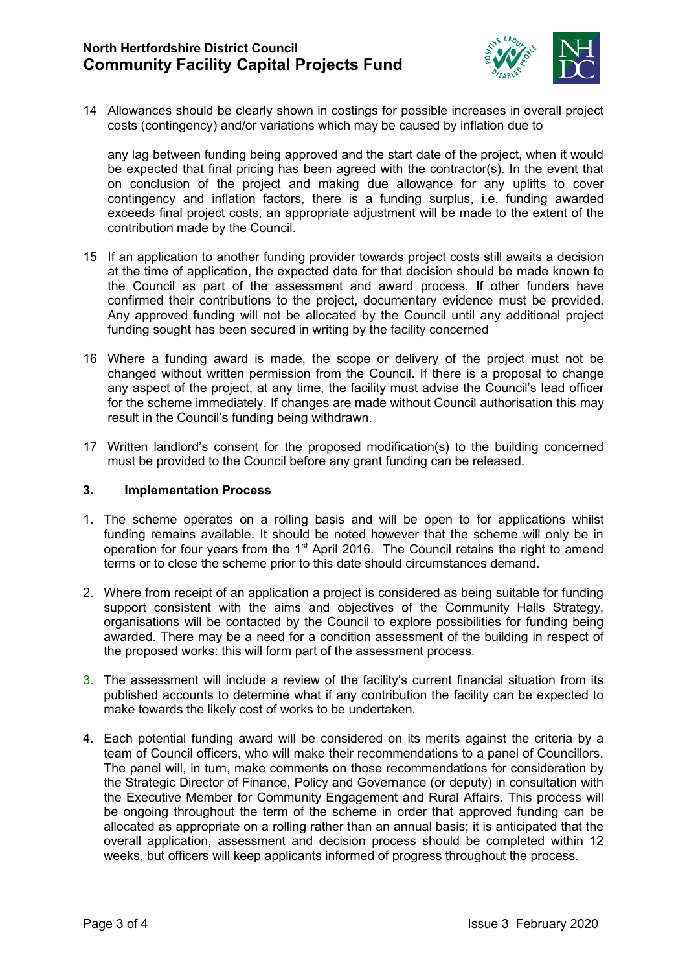# **North Hertfordshire District Council Community Facility Capital Projects Fund**



14 Allowances should be clearly shown in costings for possible increases in overall project costs (contingency) and/or variations which may be caused by inflation due to

any lag between funding being approved and the start date of the project, when it would be expected that final pricing has been agreed with the contractor(s). In the event that on conclusion of the project and making due allowance for any uplifts to cover contingency and inflation factors, there is a funding surplus, i.e. funding awarded exceeds final project costs, an appropriate adjustment will be made to the extent of the contribution made by the Council.

- 15 If an application to another funding provider towards project costs still awaits a decision at the time of application, the expected date for that decision should be made known to the Council as part of the assessment and award process. If other funders have confirmed their contributions to the project, documentary evidence must be provided. Any approved funding will not be allocated by the Council until any additional project funding sought has been secured in writing by the facility concerned
- 16 Where a funding award is made, the scope or delivery of the project must not be changed without written permission from the Council. If there is a proposal to change any aspect of the project, at any time, the facility must advise the Council's lead officer for the scheme immediately. If changes are made without Council authorisation this may result in the Council's funding being withdrawn.
- 17 Written landlord's consent for the proposed modification(s) to the building concerned must be provided to the Council before any grant funding can be released.

### **3. Implementation Process**

- 1. The scheme operates on a rolling basis and will be open to for applications whilst funding remains available. It should be noted however that the scheme will only be in operation for four years from the 1<sup>st</sup> April 2016. The Council retains the right to amend terms or to close the scheme prior to this date should circumstances demand.
- 2. Where from receipt of an application a project is considered as being suitable for funding support consistent with the aims and objectives of the Community Halls Strategy, organisations will be contacted by the Council to explore possibilities for funding being awarded. There may be a need for a condition assessment of the building in respect of the proposed works: this will form part of the assessment process.
- 3. The assessment will include a review of the facility's current financial situation from its published accounts to determine what if any contribution the facility can be expected to make towards the likely cost of works to be undertaken.
- 4. Each potential funding award will be considered on its merits against the criteria by a team of Council officers, who will make their recommendations to a panel of Councillors. The panel will, in turn, make comments on those recommendations for consideration by the Strategic Director of Finance, Policy and Governance (or deputy) in consultation with the Executive Member for Community Engagement and Rural Affairs. This process will be ongoing throughout the term of the scheme in order that approved funding can be allocated as appropriate on a rolling rather than an annual basis; it is anticipated that the overall application, assessment and decision process should be completed within 12 weeks, but officers will keep applicants informed of progress throughout the process.